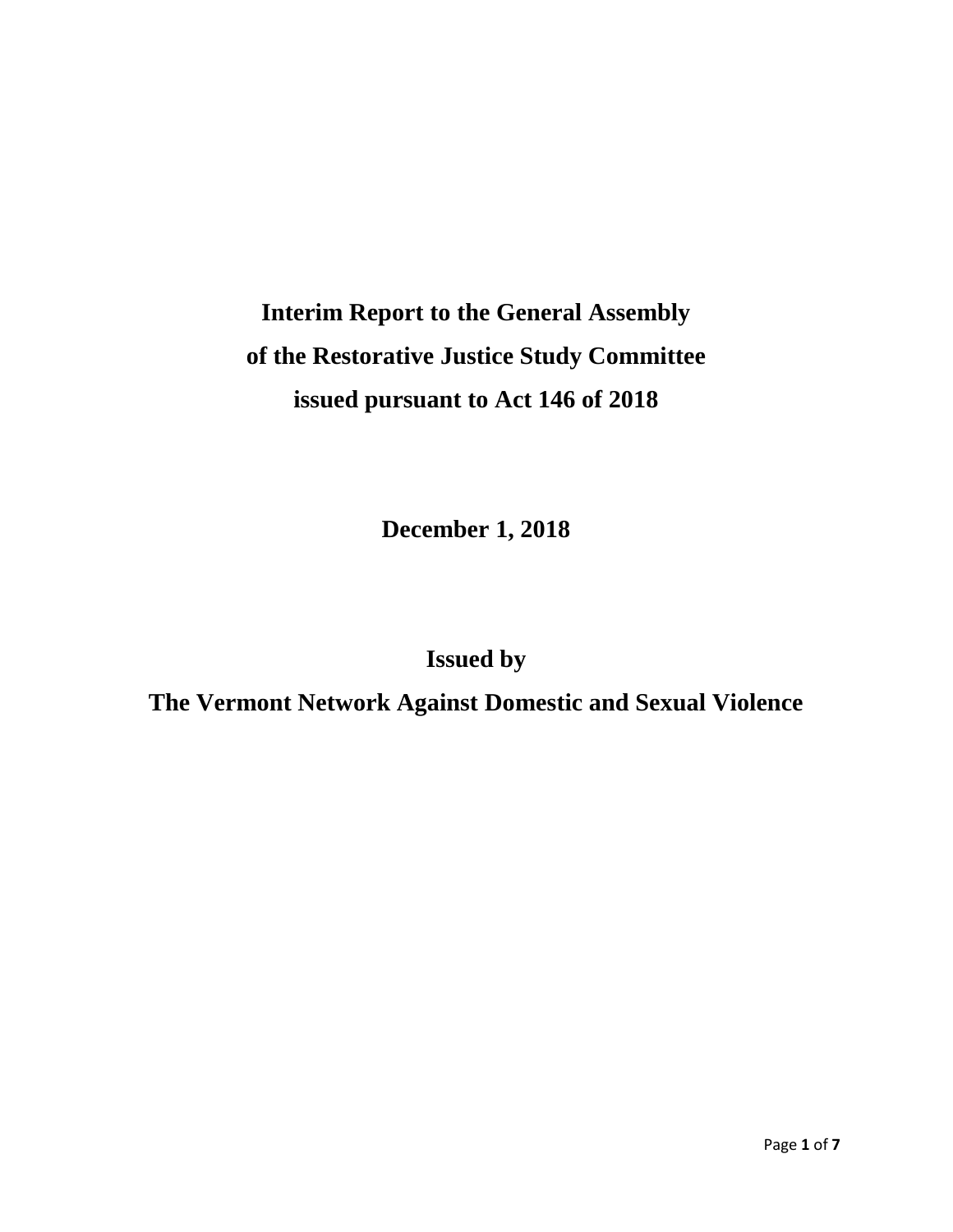# **Interim Report to the General Assembly of the Restorative Justice Study Committee issued pursuant to Act 146 of 2018**

**December 1, 2018**

**Issued by** 

**The Vermont Network Against Domestic and Sexual Violence**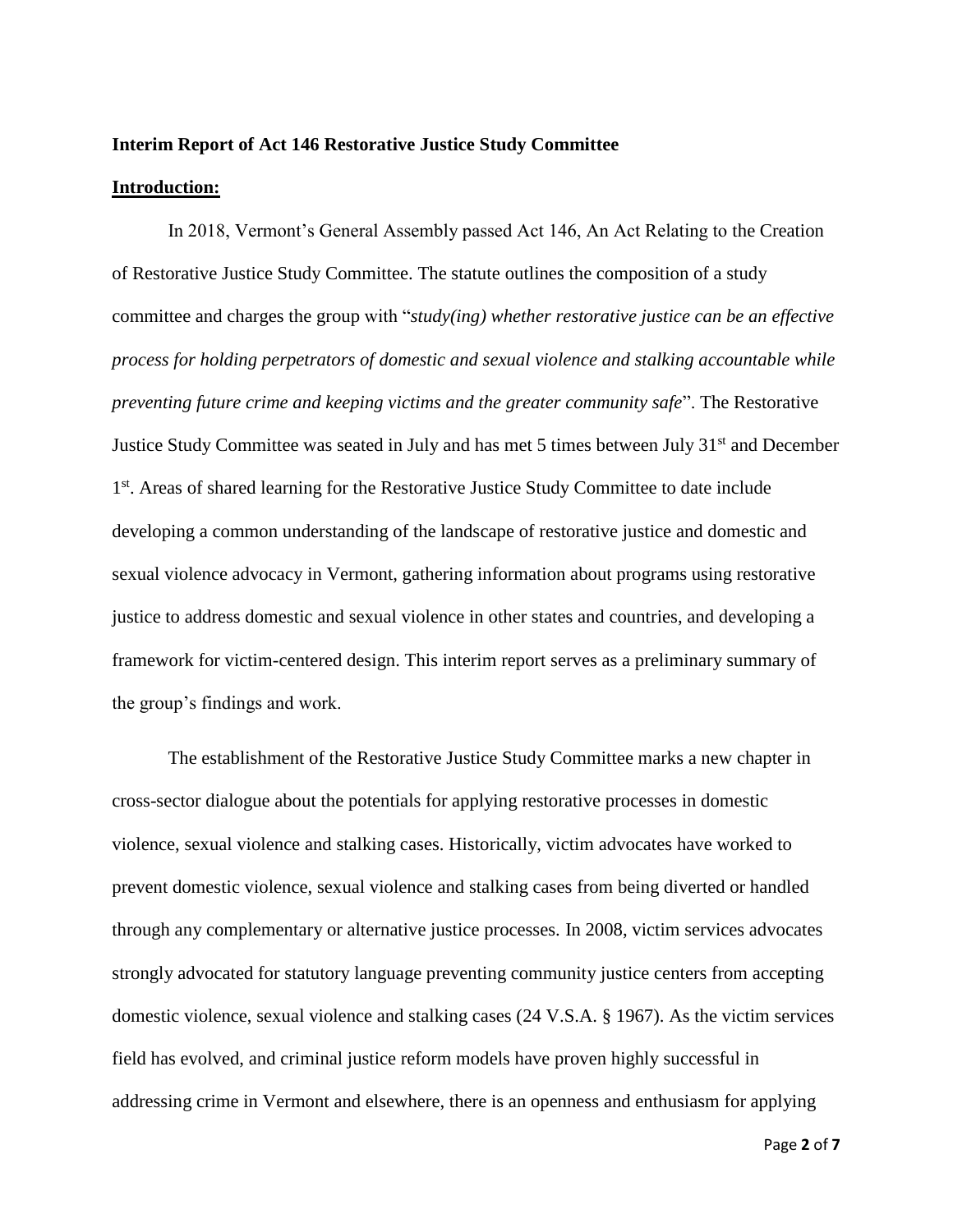#### **Interim Report of Act 146 Restorative Justice Study Committee**

#### **Introduction:**

In 2018, Vermont's General Assembly passed Act 146, An Act Relating to the Creation of Restorative Justice Study Committee. The statute outlines the composition of a study committee and charges the group with "*study(ing) whether restorative justice can be an effective process for holding perpetrators of domestic and sexual violence and stalking accountable while preventing future crime and keeping victims and the greater community safe*". The Restorative Justice Study Committee was seated in July and has met 5 times between July 31<sup>st</sup> and December 1<sup>st</sup>. Areas of shared learning for the Restorative Justice Study Committee to date include developing a common understanding of the landscape of restorative justice and domestic and sexual violence advocacy in Vermont, gathering information about programs using restorative justice to address domestic and sexual violence in other states and countries, and developing a framework for victim-centered design. This interim report serves as a preliminary summary of the group's findings and work.

The establishment of the Restorative Justice Study Committee marks a new chapter in cross-sector dialogue about the potentials for applying restorative processes in domestic violence, sexual violence and stalking cases. Historically, victim advocates have worked to prevent domestic violence, sexual violence and stalking cases from being diverted or handled through any complementary or alternative justice processes. In 2008, victim services advocates strongly advocated for statutory language preventing community justice centers from accepting domestic violence, sexual violence and stalking cases (24 V.S.A. § 1967). As the victim services field has evolved, and criminal justice reform models have proven highly successful in addressing crime in Vermont and elsewhere, there is an openness and enthusiasm for applying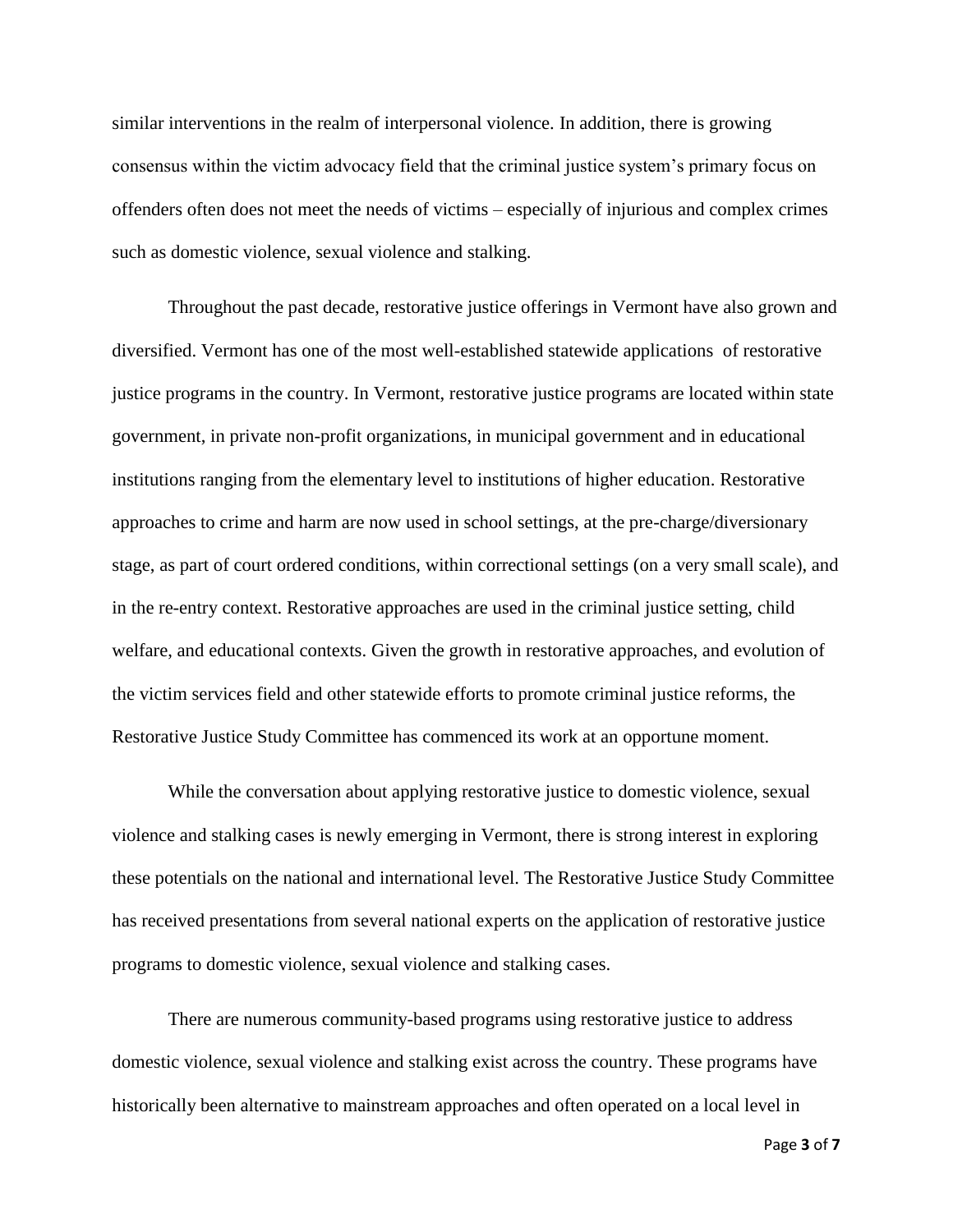similar interventions in the realm of interpersonal violence. In addition, there is growing consensus within the victim advocacy field that the criminal justice system's primary focus on offenders often does not meet the needs of victims – especially of injurious and complex crimes such as domestic violence, sexual violence and stalking.

Throughout the past decade, restorative justice offerings in Vermont have also grown and diversified. Vermont has one of the most well-established statewide applications of restorative justice programs in the country. In Vermont, restorative justice programs are located within state government, in private non-profit organizations, in municipal government and in educational institutions ranging from the elementary level to institutions of higher education. Restorative approaches to crime and harm are now used in school settings, at the pre-charge/diversionary stage, as part of court ordered conditions, within correctional settings (on a very small scale), and in the re-entry context. Restorative approaches are used in the criminal justice setting, child welfare, and educational contexts. Given the growth in restorative approaches, and evolution of the victim services field and other statewide efforts to promote criminal justice reforms, the Restorative Justice Study Committee has commenced its work at an opportune moment.

While the conversation about applying restorative justice to domestic violence, sexual violence and stalking cases is newly emerging in Vermont, there is strong interest in exploring these potentials on the national and international level. The Restorative Justice Study Committee has received presentations from several national experts on the application of restorative justice programs to domestic violence, sexual violence and stalking cases.

There are numerous community-based programs using restorative justice to address domestic violence, sexual violence and stalking exist across the country. These programs have historically been alternative to mainstream approaches and often operated on a local level in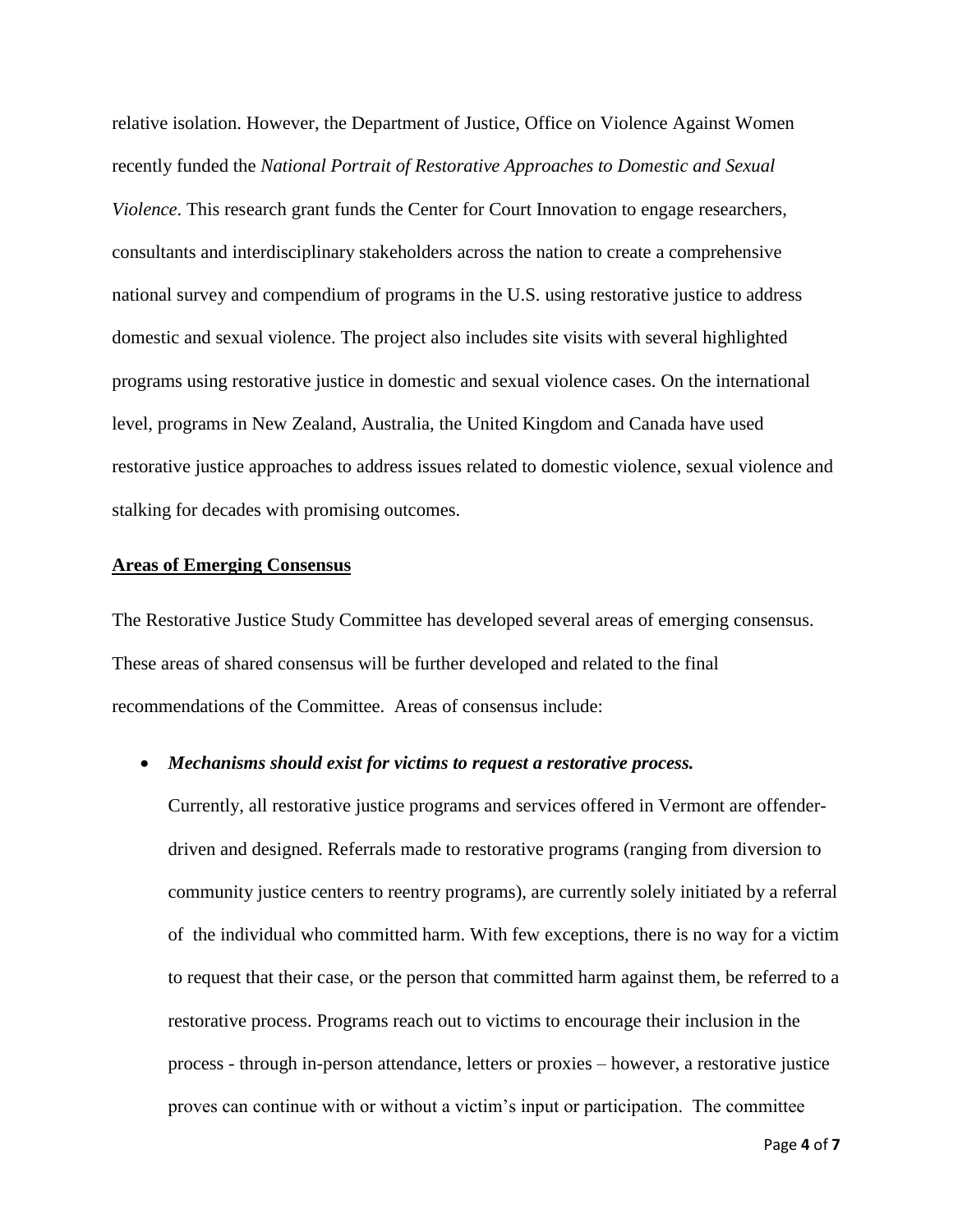relative isolation. However, the Department of Justice, Office on Violence Against Women recently funded the *National Portrait of Restorative Approaches to Domestic and Sexual Violence*. This research grant funds the Center for Court Innovation to engage researchers, consultants and interdisciplinary stakeholders across the nation to create a comprehensive national survey and compendium of programs in the U.S. using restorative justice to address domestic and sexual violence. The project also includes site visits with several highlighted programs using restorative justice in domestic and sexual violence cases. On the international level, programs in New Zealand, Australia, the United Kingdom and Canada have used restorative justice approaches to address issues related to domestic violence, sexual violence and stalking for decades with promising outcomes.

#### **Areas of Emerging Consensus**

The Restorative Justice Study Committee has developed several areas of emerging consensus. These areas of shared consensus will be further developed and related to the final recommendations of the Committee. Areas of consensus include:

#### • *Mechanisms should exist for victims to request a restorative process.*

Currently, all restorative justice programs and services offered in Vermont are offenderdriven and designed. Referrals made to restorative programs (ranging from diversion to community justice centers to reentry programs), are currently solely initiated by a referral of the individual who committed harm. With few exceptions, there is no way for a victim to request that their case, or the person that committed harm against them, be referred to a restorative process. Programs reach out to victims to encourage their inclusion in the process - through in-person attendance, letters or proxies – however, a restorative justice proves can continue with or without a victim's input or participation. The committee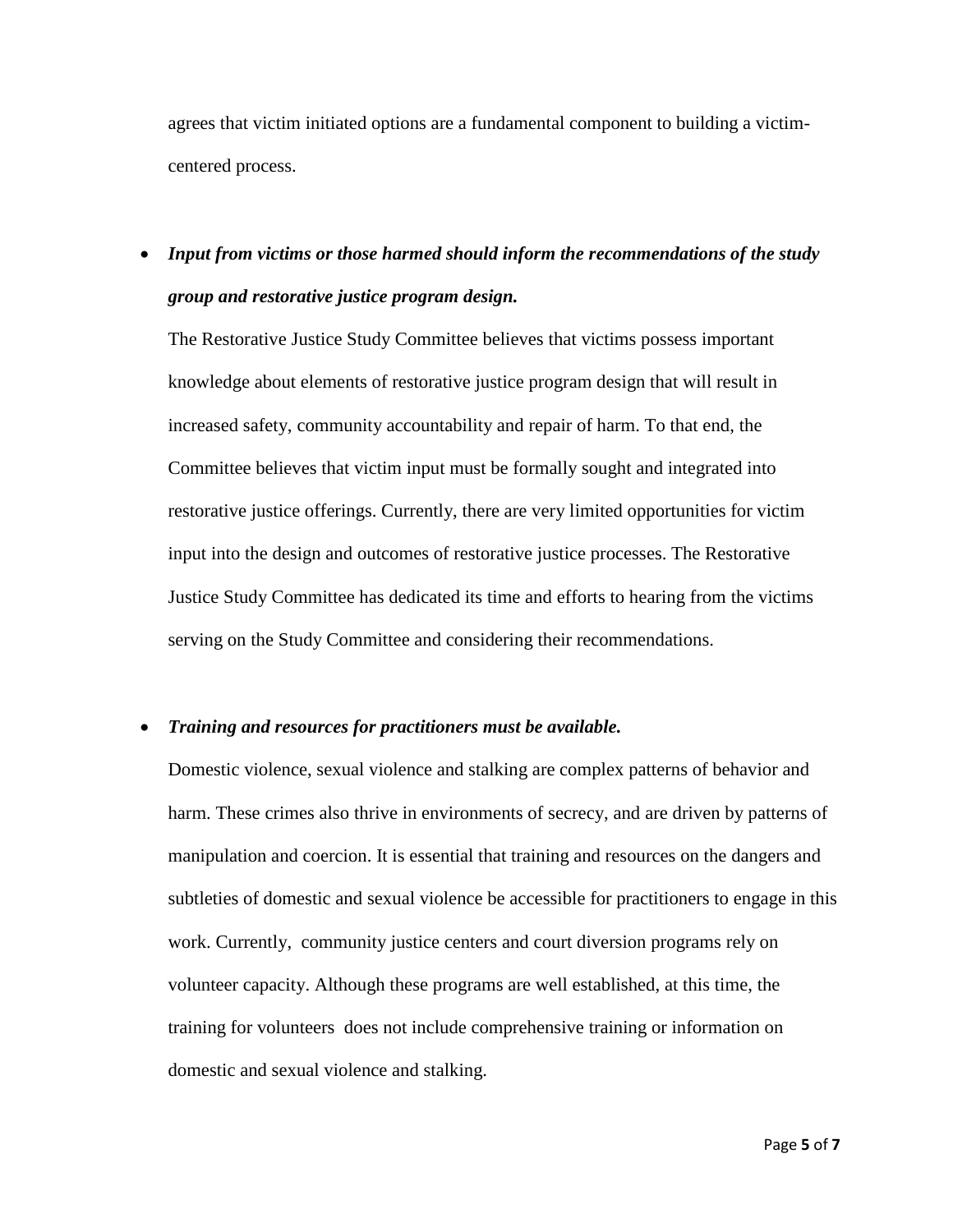agrees that victim initiated options are a fundamental component to building a victimcentered process.

### • *Input from victims or those harmed should inform the recommendations of the study group and restorative justice program design.*

The Restorative Justice Study Committee believes that victims possess important knowledge about elements of restorative justice program design that will result in increased safety, community accountability and repair of harm. To that end, the Committee believes that victim input must be formally sought and integrated into restorative justice offerings. Currently, there are very limited opportunities for victim input into the design and outcomes of restorative justice processes. The Restorative Justice Study Committee has dedicated its time and efforts to hearing from the victims serving on the Study Committee and considering their recommendations.

#### • *Training and resources for practitioners must be available.*

Domestic violence, sexual violence and stalking are complex patterns of behavior and harm. These crimes also thrive in environments of secrecy, and are driven by patterns of manipulation and coercion. It is essential that training and resources on the dangers and subtleties of domestic and sexual violence be accessible for practitioners to engage in this work. Currently, community justice centers and court diversion programs rely on volunteer capacity. Although these programs are well established, at this time, the training for volunteers does not include comprehensive training or information on domestic and sexual violence and stalking.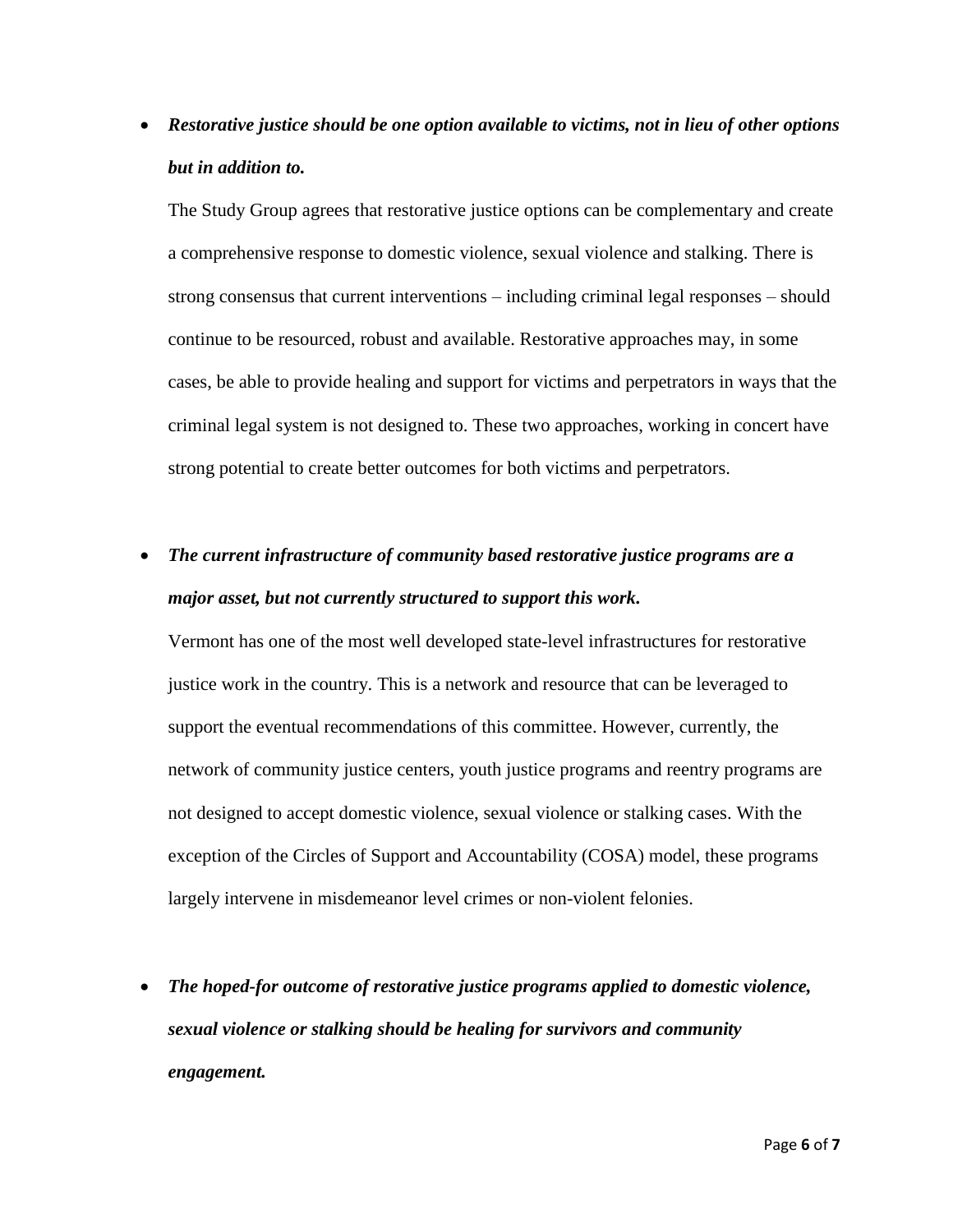• *Restorative justice should be one option available to victims, not in lieu of other options but in addition to.* 

The Study Group agrees that restorative justice options can be complementary and create a comprehensive response to domestic violence, sexual violence and stalking. There is strong consensus that current interventions – including criminal legal responses – should continue to be resourced, robust and available. Restorative approaches may, in some cases, be able to provide healing and support for victims and perpetrators in ways that the criminal legal system is not designed to. These two approaches, working in concert have strong potential to create better outcomes for both victims and perpetrators.

## • *The current infrastructure of community based restorative justice programs are a major asset, but not currently structured to support this work.*

Vermont has one of the most well developed state-level infrastructures for restorative justice work in the country. This is a network and resource that can be leveraged to support the eventual recommendations of this committee. However, currently, the network of community justice centers, youth justice programs and reentry programs are not designed to accept domestic violence, sexual violence or stalking cases. With the exception of the Circles of Support and Accountability (COSA) model, these programs largely intervene in misdemeanor level crimes or non-violent felonies.

• *The hoped-for outcome of restorative justice programs applied to domestic violence, sexual violence or stalking should be healing for survivors and community engagement.*